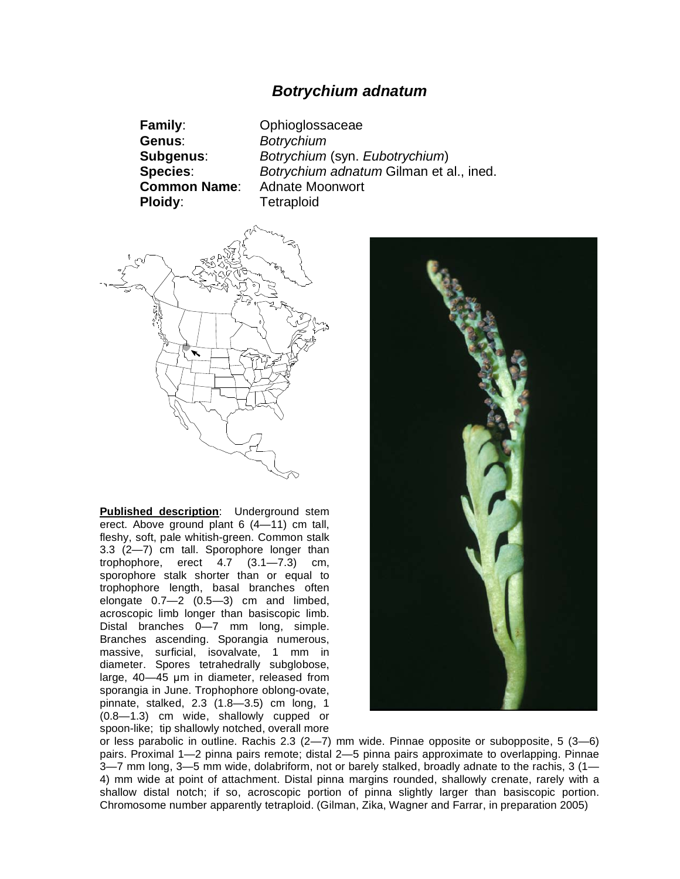## *Botrychium adnatum*

**Genus**: *Botrychium* **Ploidy**: Tetraploid

**Family**: Ophioglossaceae **Subgenus**: *Botrychium* (syn. *Eubotrychium*) **Species**: *Botrychium adnatum* Gilman et al., ined. **Common Name**: Adnate Moonwort



**Published description**: Underground stem erect. Above ground plant 6 (4—11) cm tall, fleshy, soft, pale whitish-green. Common stalk 3.3 (2—7) cm tall. Sporophore longer than trophophore, erect 4.7 (3.1—7.3) cm, sporophore stalk shorter than or equal to trophophore length, basal branches often elongate 0.7—2 (0.5—3) cm and limbed, acroscopic limb longer than basiscopic limb. Distal branches 0—7 mm long, simple. Branches ascending. Sporangia numerous, massive, surficial, isovalvate, 1 mm in diameter. Spores tetrahedrally subglobose, large,  $40-45$  µm in diameter, released from sporangia in June. Trophophore oblong-ovate, pinnate, stalked, 2.3 (1.8—3.5) cm long, 1 (0.8—1.3) cm wide, shallowly cupped or spoon-like; tip shallowly notched, overall more



or less parabolic in outline. Rachis 2.3 (2—7) mm wide. Pinnae opposite or subopposite, 5 (3—6) pairs. Proximal 1—2 pinna pairs remote; distal 2—5 pinna pairs approximate to overlapping. Pinnae 3—7 mm long, 3—5 mm wide, dolabriform, not or barely stalked, broadly adnate to the rachis, 3 (1— 4) mm wide at point of attachment. Distal pinna margins rounded, shallowly crenate, rarely with a shallow distal notch; if so, acroscopic portion of pinna slightly larger than basiscopic portion. Chromosome number apparently tetraploid. (Gilman, Zika, Wagner and Farrar, in preparation 2005)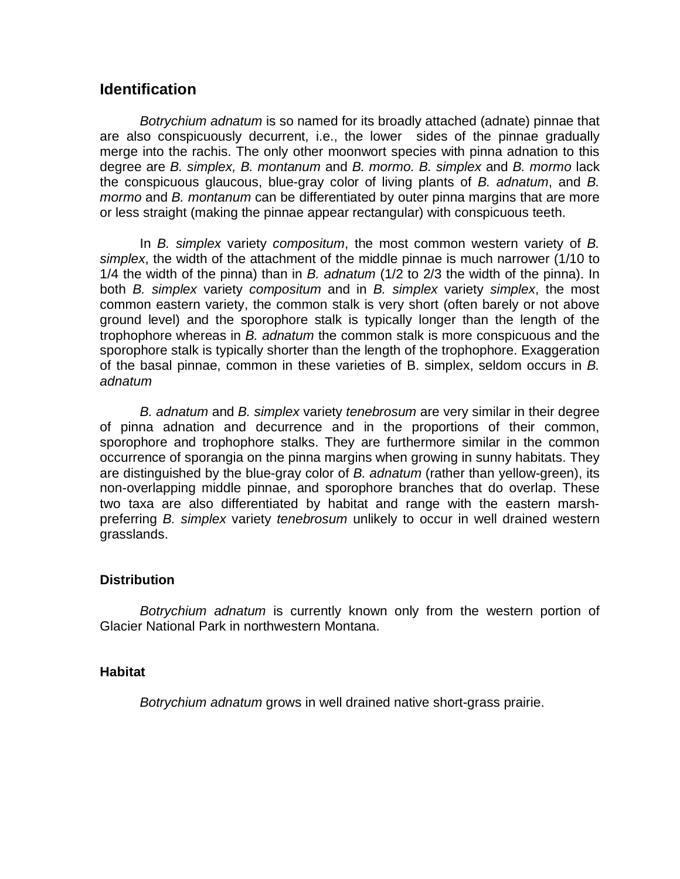## **Identification**

*Botrychium adnatum* is so named for its broadly attached (adnate) pinnae that are also conspicuously decurrent, i.e., the lower sides of the pinnae gradually merge into the rachis. The only other moonwort species with pinna adnation to this degree are *B. simplex, B. montanum* and *B. mormo. B. simplex* and *B. mormo* lack the conspicuous glaucous, blue-gray color of living plants of *B. adnatum*, and *B. mormo* and *B. montanum* can be differentiated by outer pinna margins that are more or less straight (making the pinnae appear rectangular) with conspicuous teeth.

In *B. simplex* variety *compositum*, the most common western variety of *B. simplex*, the width of the attachment of the middle pinnae is much narrower (1/10 to 1/4 the width of the pinna) than in *B. adnatum* (1/2 to 2/3 the width of the pinna). In both *B. simplex* variety *compositum* and in *B. simplex* variety *simplex*, the most common eastern variety, the common stalk is very short (often barely or not above ground level) and the sporophore stalk is typically longer than the length of the trophophore whereas in *B. adnatum* the common stalk is more conspicuous and the sporophore stalk is typically shorter than the length of the trophophore. Exaggeration of the basal pinnae, common in these varieties of B. simplex, seldom occurs in *B. adnatum*

*B. adnatum* and *B. simplex* variety *tenebrosum* are very similar in their degree of pinna adnation and decurrence and in the proportions of their common, sporophore and trophophore stalks. They are furthermore similar in the common occurrence of sporangia on the pinna margins when growing in sunny habitats. They are distinguished by the blue-gray color of *B. adnatum* (rather than yellow-green), its non-overlapping middle pinnae, and sporophore branches that do overlap. These two taxa are also differentiated by habitat and range with the eastern marshpreferring *B. simplex* variety *tenebrosum* unlikely to occur in well drained western grasslands.

## **Distribution**

*Botrychium adnatum* is currently known only from the western portion of Glacier National Park in northwestern Montana.

## **Habitat**

*Botrychium adnatum* grows in well drained native short-grass prairie.